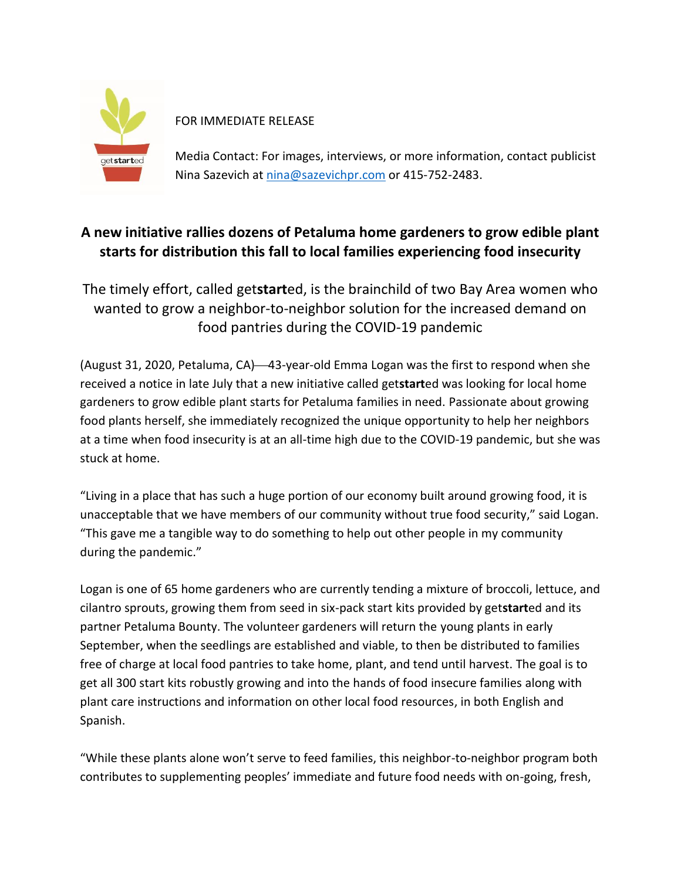

FOR IMMEDIATE RELEASE

Media Contact: For images, interviews, or more information, contact publicist Nina Sazevich at [nina@sazevichpr.com](mailto:nina@sazevichpr.com) or 415-752-2483.

## **A new initiative rallies dozens of Petaluma home gardeners to grow edible plant starts for distribution this fall to local families experiencing food insecurity**

The timely effort, called get**start**ed, is the brainchild of two Bay Area women who wanted to grow a neighbor-to-neighbor solution for the increased demand on food pantries during the COVID-19 pandemic

(August 31, 2020, Petaluma, CA)—43-year-old Emma Logan was the first to respond when she received a notice in late July that a new initiative called get**start**ed was looking for local home gardeners to grow edible plant starts for Petaluma families in need. Passionate about growing food plants herself, she immediately recognized the unique opportunity to help her neighbors at a time when food insecurity is at an all-time high due to the COVID-19 pandemic, but she was stuck at home.

"Living in a place that has such a huge portion of our economy built around growing food, it is unacceptable that we have members of our community without true food security," said Logan. "This gave me a tangible way to do something to help out other people in my community during the pandemic."

Logan is one of 65 home gardeners who are currently tending a mixture of broccoli, lettuce, and cilantro sprouts, growing them from seed in six-pack start kits provided by get**start**ed and its partner Petaluma Bounty. The volunteer gardeners will return the young plants in early September, when the seedlings are established and viable, to then be distributed to families free of charge at local food pantries to take home, plant, and tend until harvest. The goal is to get all 300 start kits robustly growing and into the hands of food insecure families along with plant care instructions and information on other local food resources, in both English and Spanish.

"While these plants alone won't serve to feed families, this neighbor-to-neighbor program both contributes to supplementing peoples' immediate and future food needs with on-going, fresh,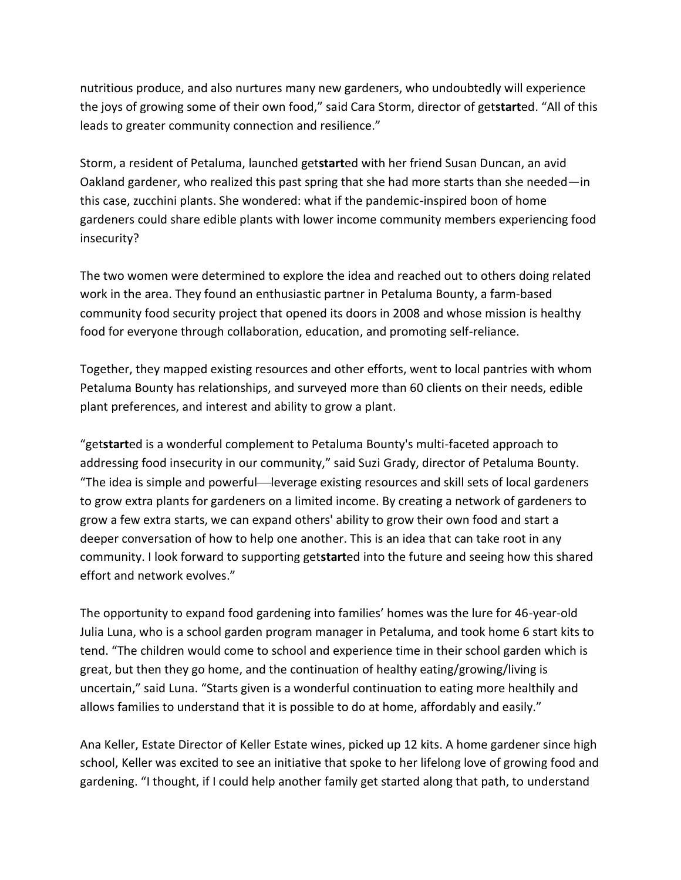nutritious produce, and also nurtures many new gardeners, who undoubtedly will experience the joys of growing some of their own food," said Cara Storm, director of get**start**ed. "All of this leads to greater community connection and resilience."

Storm, a resident of Petaluma, launched get**start**ed with her friend Susan Duncan, an avid Oakland gardener, who realized this past spring that she had more starts than she needed—in this case, zucchini plants. She wondered: what if the pandemic-inspired boon of home gardeners could share edible plants with lower income community members experiencing food insecurity?

The two women were determined to explore the idea and reached out to others doing related work in the area. They found an enthusiastic partner in Petaluma Bounty, a farm-based community food security project that opened its doors in 2008 and whose mission is healthy food for everyone through collaboration, education, and promoting self-reliance.

Together, they mapped existing resources and other efforts, went to local pantries with whom Petaluma Bounty has relationships, and surveyed more than 60 clients on their needs, edible plant preferences, and interest and ability to grow a plant.

"get**start**ed is a wonderful complement to Petaluma Bounty's multi-faceted approach to addressing food insecurity in our community," said Suzi Grady, director of Petaluma Bounty. "The idea is simple and powerful—leverage existing resources and skill sets of local gardeners to grow extra plants for gardeners on a limited income. By creating a network of gardeners to grow a few extra starts, we can expand others' ability to grow their own food and start a deeper conversation of how to help one another. This is an idea that can take root in any community. I look forward to supporting get**start**ed into the future and seeing how this shared effort and network evolves."

The opportunity to expand food gardening into families' homes was the lure for 46-year-old Julia Luna, who is a school garden program manager in Petaluma, and took home 6 start kits to tend. "The children would come to school and experience time in their school garden which is great, but then they go home, and the continuation of healthy eating/growing/living is uncertain," said Luna. "Starts given is a wonderful continuation to eating more healthily and allows families to understand that it is possible to do at home, affordably and easily."

Ana Keller, Estate Director of Keller Estate wines, picked up 12 kits. A home gardener since high school, Keller was excited to see an initiative that spoke to her lifelong love of growing food and gardening. "I thought, if I could help another family get started along that path, to understand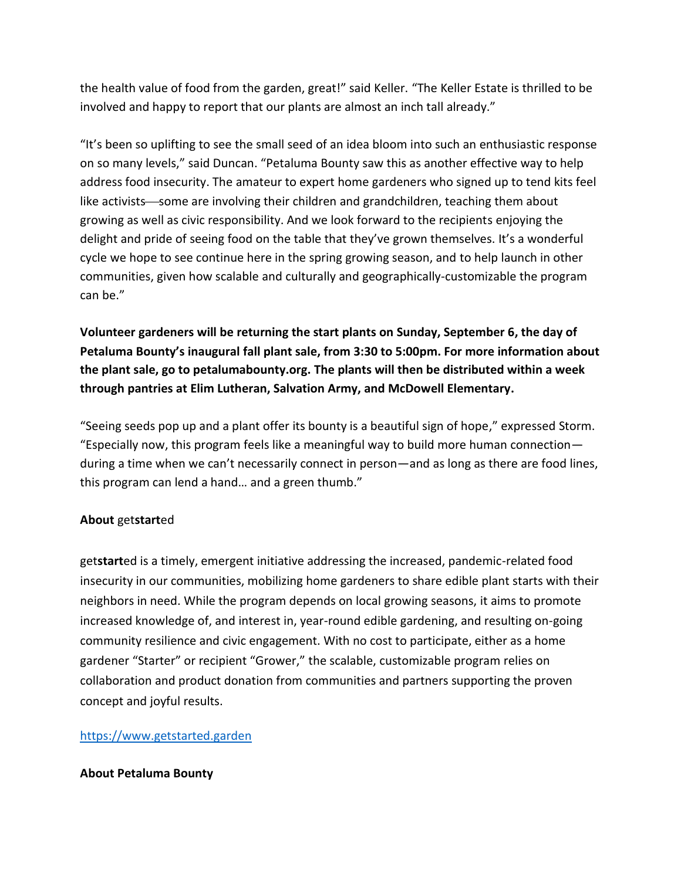the health value of food from the garden, great!" said Keller. "The Keller Estate is thrilled to be involved and happy to report that our plants are almost an inch tall already."

"It's been so uplifting to see the small seed of an idea bloom into such an enthusiastic response on so many levels," said Duncan. "Petaluma Bounty saw this as another effective way to help address food insecurity. The amateur to expert home gardeners who signed up to tend kits feel like activists—some are involving their children and grandchildren, teaching them about growing as well as civic responsibility. And we look forward to the recipients enjoying the delight and pride of seeing food on the table that they've grown themselves. It's a wonderful cycle we hope to see continue here in the spring growing season, and to help launch in other communities, given how scalable and culturally and geographically-customizable the program can be."

**Volunteer gardeners will be returning the start plants on Sunday, September 6, the day of Petaluma Bounty's inaugural fall plant sale, from 3:30 to 5:00pm. For more information about the plant sale, go to petalumabounty.org. The plants will then be distributed within a week through pantries at Elim Lutheran, Salvation Army, and McDowell Elementary.**

"Seeing seeds pop up and a plant offer its bounty is a beautiful sign of hope," expressed Storm. "Especially now, this program feels like a meaningful way to build more human connection during a time when we can't necessarily connect in person—and as long as there are food lines, this program can lend a hand… and a green thumb."

## **About** get**start**ed

get**start**ed is a timely, emergent initiative addressing the increased, pandemic-related food insecurity in our communities, mobilizing home gardeners to share edible plant starts with their neighbors in need. While the program depends on local growing seasons, it aims to promote increased knowledge of, and interest in, year-round edible gardening, and resulting on-going community resilience and civic engagement. With no cost to participate, either as a home gardener "Starter" or recipient "Grower," the scalable, customizable program relies on collaboration and product donation from communities and partners supporting the proven concept and joyful results.

## [https://www.getstarted.garden](https://www.getstarted.garden/)

## **About Petaluma Bounty**